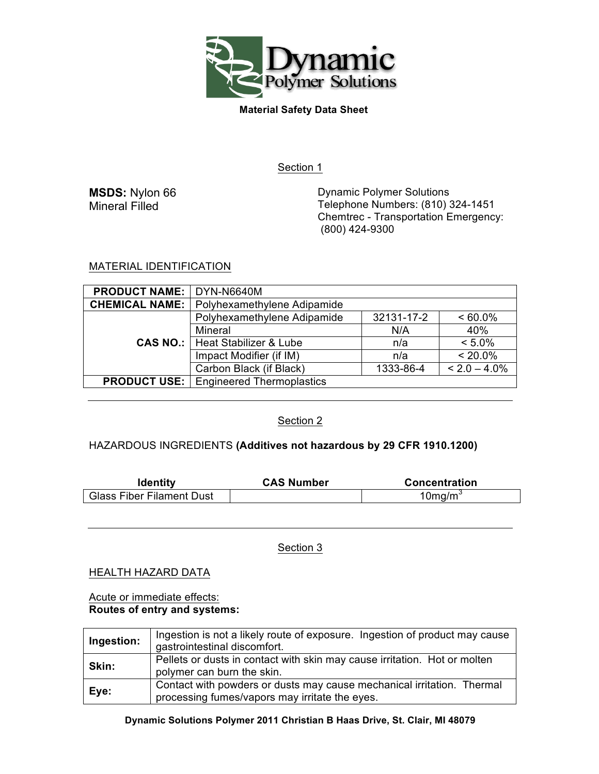

Section 1

**MSDS:** Nylon 66 Mineral Filled

Dynamic Polymer Solutions Telephone Numbers: (810) 324-1451 Chemtrec - Transportation Emergency: (800) 424-9300

# MATERIAL IDENTIFICATION

| <b>PRODUCT NAME:</b>  | DYN-N6640M                                      |            |                 |
|-----------------------|-------------------------------------------------|------------|-----------------|
| <b>CHEMICAL NAME:</b> | Polyhexamethylene Adipamide                     |            |                 |
|                       | Polyhexamethylene Adipamide                     | 32131-17-2 | $< 60.0\%$      |
|                       | Mineral                                         | N/A        | 40%             |
|                       | <b>CAS NO.:</b>   Heat Stabilizer & Lube        | n/a        | $< 5.0\%$       |
|                       | Impact Modifier (if IM)                         | n/a        | $< 20.0\%$      |
|                       | Carbon Black (if Black)                         | 1333-86-4  | $< 2.0 - 4.0\%$ |
|                       | <b>PRODUCT USE:</b>   Engineered Thermoplastics |            |                 |

# Section 2

# HAZARDOUS INGREDIENTS **(Additives not hazardous by 29 CFR 1910.1200)**

| <b>Identity</b>                  | <b>CAS Number</b> | <b>Concentration</b> |
|----------------------------------|-------------------|----------------------|
| <b>Glass Fiber Filament Dust</b> |                   | $10$ mg/m $3$        |

Section 3

HEALTH HAZARD DATA

### Acute or immediate effects: **Routes of entry and systems:**

| Ingestion: | Ingestion is not a likely route of exposure. Ingestion of product may cause<br>gastrointestinal discomfort.              |
|------------|--------------------------------------------------------------------------------------------------------------------------|
| Skin:      | Pellets or dusts in contact with skin may cause irritation. Hot or molten<br>polymer can burn the skin.                  |
| Eye:       | Contact with powders or dusts may cause mechanical irritation. Thermal<br>processing fumes/vapors may irritate the eyes. |

# **Dynamic Solutions Polymer 2011 Christian B Haas Drive, St. Clair, MI 48079**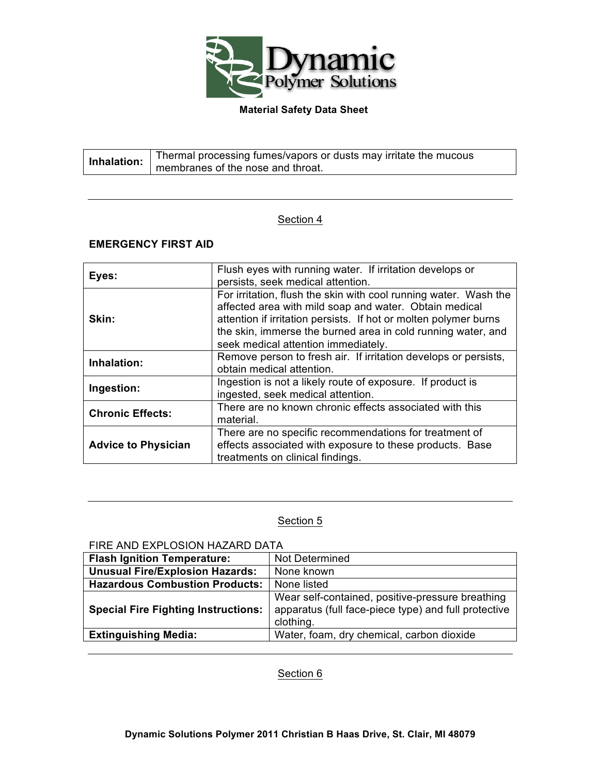

| Inhalation: | Thermal processing fumes/vapors or dusts may irritate the mucous |
|-------------|------------------------------------------------------------------|
|             | membranes of the nose and throat.                                |

# Section 4

# **EMERGENCY FIRST AID**

| Eyes:                      | Flush eyes with running water. If irritation develops or<br>persists, seek medical attention.                                                                                                                                                                                                         |
|----------------------------|-------------------------------------------------------------------------------------------------------------------------------------------------------------------------------------------------------------------------------------------------------------------------------------------------------|
| Skin:                      | For irritation, flush the skin with cool running water. Wash the<br>affected area with mild soap and water. Obtain medical<br>attention if irritation persists. If hot or molten polymer burns<br>the skin, immerse the burned area in cold running water, and<br>seek medical attention immediately. |
| Inhalation:                | Remove person to fresh air. If irritation develops or persists,<br>obtain medical attention.                                                                                                                                                                                                          |
| Ingestion:                 | Ingestion is not a likely route of exposure. If product is<br>ingested, seek medical attention.                                                                                                                                                                                                       |
| <b>Chronic Effects:</b>    | There are no known chronic effects associated with this<br>material.                                                                                                                                                                                                                                  |
| <b>Advice to Physician</b> | There are no specific recommendations for treatment of<br>effects associated with exposure to these products. Base<br>treatments on clinical findings.                                                                                                                                                |

# Section 5

### FIRE AND EXPLOSION HAZARD DATA

| <b>Flash Ignition Temperature:</b>         | Not Determined                                                                                                        |
|--------------------------------------------|-----------------------------------------------------------------------------------------------------------------------|
| <b>Unusual Fire/Explosion Hazards:</b>     | None known                                                                                                            |
| <b>Hazardous Combustion Products:</b>      | None listed                                                                                                           |
| <b>Special Fire Fighting Instructions:</b> | Wear self-contained, positive-pressure breathing<br>apparatus (full face-piece type) and full protective<br>clothing. |
| <b>Extinguishing Media:</b>                | Water, foam, dry chemical, carbon dioxide                                                                             |

Section 6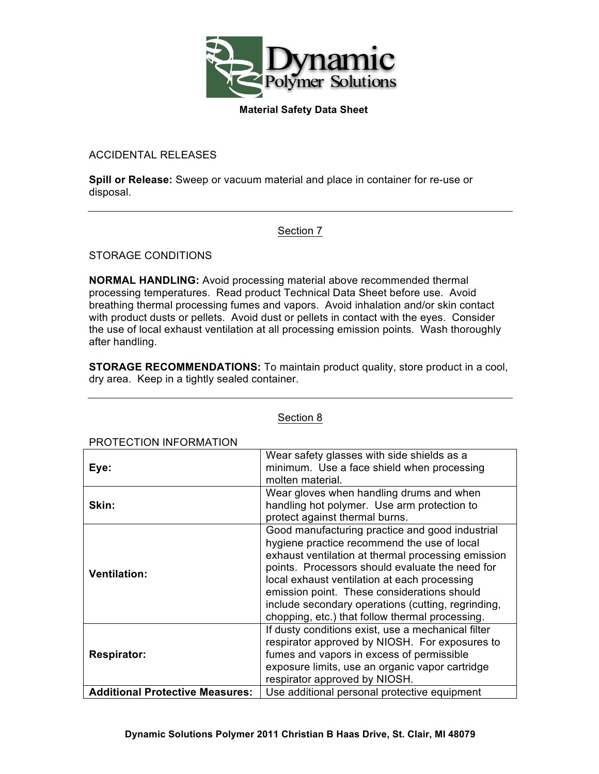

ACCIDENTAL RELEASES

**Spill or Release:** Sweep or vacuum material and place in container for re-use or disposal.

# Section 7

STORAGE CONDITIONS

**NORMAL HANDLING:** Avoid processing material above recommended thermal processing temperatures. Read product Technical Data Sheet before use. Avoid breathing thermal processing fumes and vapors. Avoid inhalation and/or skin contact with product dusts or pellets. Avoid dust or pellets in contact with the eyes. Consider the use of local exhaust ventilation at all processing emission points. Wash thoroughly after handling.

**STORAGE RECOMMENDATIONS:** To maintain product quality, store product in a cool, dry area. Keep in a tightly sealed container.

| PROTECTION INFORMATION                 |                                                                                                                                                                                                                                                                                                                                                                                                                 |
|----------------------------------------|-----------------------------------------------------------------------------------------------------------------------------------------------------------------------------------------------------------------------------------------------------------------------------------------------------------------------------------------------------------------------------------------------------------------|
| Eye:                                   | Wear safety glasses with side shields as a<br>minimum. Use a face shield when processing<br>molten material.                                                                                                                                                                                                                                                                                                    |
| Skin:                                  | Wear gloves when handling drums and when<br>handling hot polymer. Use arm protection to<br>protect against thermal burns.                                                                                                                                                                                                                                                                                       |
| <b>Ventilation:</b>                    | Good manufacturing practice and good industrial<br>hygiene practice recommend the use of local<br>exhaust ventilation at thermal processing emission<br>points. Processors should evaluate the need for<br>local exhaust ventilation at each processing<br>emission point. These considerations should<br>include secondary operations (cutting, regrinding,<br>chopping, etc.) that follow thermal processing. |
| <b>Respirator:</b>                     | If dusty conditions exist, use a mechanical filter<br>respirator approved by NIOSH. For exposures to<br>fumes and vapors in excess of permissible<br>exposure limits, use an organic vapor cartridge<br>respirator approved by NIOSH.                                                                                                                                                                           |
| <b>Additional Protective Measures:</b> | Use additional personal protective equipment                                                                                                                                                                                                                                                                                                                                                                    |

### Section 8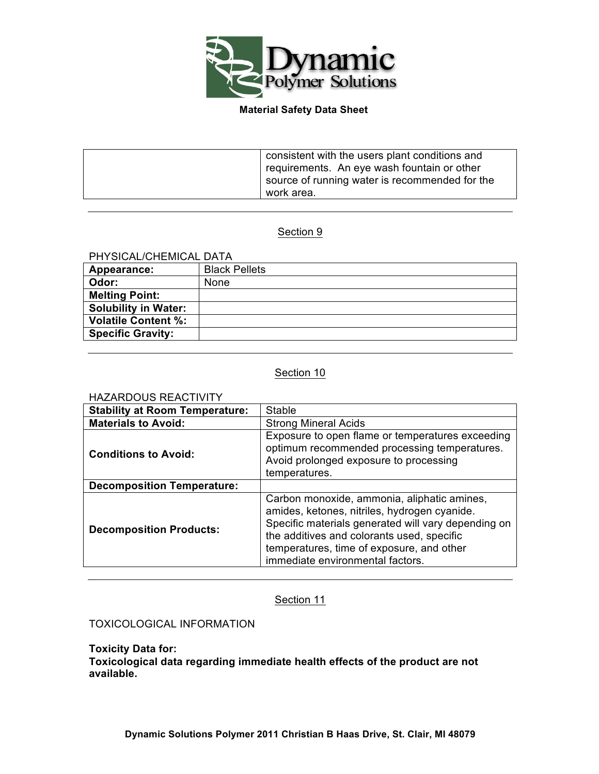

| consistent with the users plant conditions and<br>requirements. An eye wash fountain or other<br>source of running water is recommended for the<br>work area. |
|---------------------------------------------------------------------------------------------------------------------------------------------------------------|
|---------------------------------------------------------------------------------------------------------------------------------------------------------------|

# Section 9

# PHYSICAL/CHEMICAL DATA

| Appearance:                 | <b>Black Pellets</b> |
|-----------------------------|----------------------|
| Odor:                       | None                 |
| <b>Melting Point:</b>       |                      |
| <b>Solubility in Water:</b> |                      |
| <b>Volatile Content %:</b>  |                      |
| <b>Specific Gravity:</b>    |                      |

# Section 10

### HAZARDOUS REACTIVITY

| <b>Stability at Room Temperature:</b> | Stable                                                                                                                                                                                                                                                                            |
|---------------------------------------|-----------------------------------------------------------------------------------------------------------------------------------------------------------------------------------------------------------------------------------------------------------------------------------|
| <b>Materials to Avoid:</b>            | <b>Strong Mineral Acids</b>                                                                                                                                                                                                                                                       |
| <b>Conditions to Avoid:</b>           | Exposure to open flame or temperatures exceeding<br>optimum recommended processing temperatures.<br>Avoid prolonged exposure to processing<br>temperatures.                                                                                                                       |
| <b>Decomposition Temperature:</b>     |                                                                                                                                                                                                                                                                                   |
| <b>Decomposition Products:</b>        | Carbon monoxide, ammonia, aliphatic amines,<br>amides, ketones, nitriles, hydrogen cyanide.<br>Specific materials generated will vary depending on<br>the additives and colorants used, specific<br>temperatures, time of exposure, and other<br>immediate environmental factors. |

### Section 11

# TOXICOLOGICAL INFORMATION

**Toxicity Data for: Toxicological data regarding immediate health effects of the product are not available.**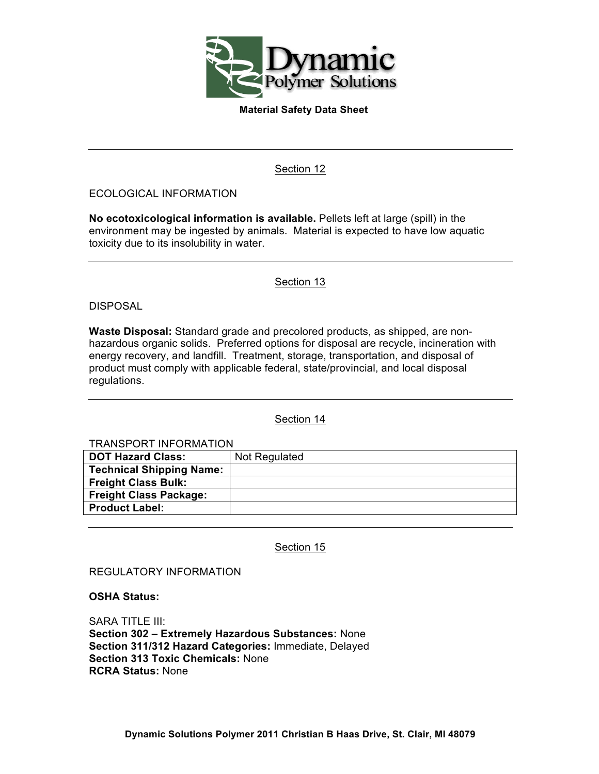

Section 12

### ECOLOGICAL INFORMATION

**No ecotoxicological information is available.** Pellets left at large (spill) in the environment may be ingested by animals. Material is expected to have low aquatic toxicity due to its insolubility in water.

Section 13

### DISPOSAL

**Waste Disposal:** Standard grade and precolored products, as shipped, are nonhazardous organic solids. Preferred options for disposal are recycle, incineration with energy recovery, and landfill. Treatment, storage, transportation, and disposal of product must comply with applicable federal, state/provincial, and local disposal regulations.

### Section 14

| <b>TRANSPORT INFORMATION</b>    |               |  |
|---------------------------------|---------------|--|
| <b>DOT Hazard Class:</b>        | Not Regulated |  |
| <b>Technical Shipping Name:</b> |               |  |
| <b>Freight Class Bulk:</b>      |               |  |
| <b>Freight Class Package:</b>   |               |  |
| <b>Product Label:</b>           |               |  |
|                                 |               |  |

Section 15

REGULATORY INFORMATION

#### **OSHA Status:**

SARA TITLE III: **Section 302 – Extremely Hazardous Substances:** None **Section 311/312 Hazard Categories:** Immediate, Delayed **Section 313 Toxic Chemicals:** None **RCRA Status:** None